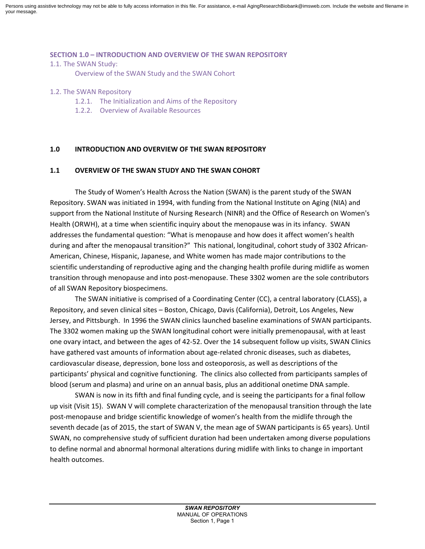Persons using assistive technology may not be able to fully access information in this file. For assistance, e-mail AgingResearchBiobank@imsweb.com. Include the website and filename in your message.

#### **SECTION 1.0 – INTRODUCTION AND OVERVIEW OF THE SWAN REPOSITORY**

1.1. The SWAN Study:

Overview of the SWAN Study and the SWAN Cohort

#### 1.2. The SWAN Repository

- 1.2.1. The Initialization and Aims of the Repository
- 1.2.2. Overview of Available Resources

### **1.0 INTRODUCTION AND OVERVIEW OF THE SWAN REPOSITORY**

### **1.1 OVERVIEW OF THE SWAN STUDY AND THE SWAN COHORT**

The Study of Women's Health Across the Nation (SWAN) is the parent study of the SWAN Repository. SWAN was initiated in 1994, with funding from the National Institute on Aging (NIA) and support from the National Institute of Nursing Research (NINR) and the Office of Research on Women's Health (ORWH), at a time when scientific inquiry about the menopause was in its infancy. SWAN addresses the fundamental question: "What is menopause and how does it affect women's health during and after the menopausal transition?" This national, longitudinal, cohort study of 3302 African-American, Chinese, Hispanic, Japanese, and White women has made major contributions to the scientific understanding of reproductive aging and the changing health profile during midlife as women transition through menopause and into post-menopause. These 3302 women are the sole contributors of all SWAN Repository biospecimens.

The SWAN initiative is comprised of a Coordinating Center (CC), a central laboratory (CLASS), a Repository, and seven clinical sites – Boston, Chicago, Davis (California), Detroit, Los Angeles, New Jersey, and Pittsburgh. In 1996 the SWAN clinics launched baseline examinations of SWAN participants. The 3302 women making up the SWAN longitudinal cohort were initially premenopausal, with at least one ovary intact, and between the ages of 42-52. Over the 14 subsequent follow up visits, SWAN Clinics have gathered vast amounts of information about age-related chronic diseases, such as diabetes, cardiovascular disease, depression, bone loss and osteoporosis, as well as descriptions of the participants' physical and cognitive functioning. The clinics also collected from participants samples of blood (serum and plasma) and urine on an annual basis, plus an additional onetime DNA sample.

SWAN is now in its fifth and final funding cycle, and is seeing the participants for a final follow up visit (Visit 15). SWAN V will complete characterization of the menopausal transition through the late post-menopause and bridge scientific knowledge of women's health from the midlife through the seventh decade (as of 2015, the start of SWAN V, the mean age of SWAN participants is 65 years). Until SWAN, no comprehensive study of sufficient duration had been undertaken among diverse populations to define normal and abnormal hormonal alterations during midlife with links to change in important health outcomes.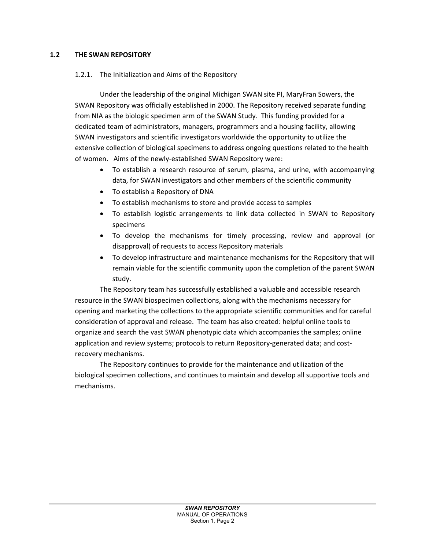# **1.2 THE SWAN REPOSITORY**

# 1.2.1. The Initialization and Aims of the Repository

Under the leadership of the original Michigan SWAN site PI, MaryFran Sowers, the SWAN Repository was officially established in 2000. The Repository received separate funding from NIA as the biologic specimen arm of the SWAN Study. This funding provided for a dedicated team of administrators, managers, programmers and a housing facility, allowing SWAN investigators and scientific investigators worldwide the opportunity to utilize the extensive collection of biological specimens to address ongoing questions related to the health of women.Aims of the newly-established SWAN Repository were:

- To establish a research resource of serum, plasma, and urine, with accompanying data, for SWAN investigators and other members of the scientific community
- To establish a Repository of DNA
- To establish mechanisms to store and provide access to samples
- To establish logistic arrangements to link data collected in SWAN to Repository specimens
- To develop the mechanisms for timely processing, review and approval (or disapproval) of requests to access Repository materials
- To develop infrastructure and maintenance mechanisms for the Repository that will remain viable for the scientific community upon the completion of the parent SWAN study.

The Repository team has successfully established a valuable and accessible research resource in the SWAN biospecimen collections, along with the mechanisms necessary for opening and marketing the collections to the appropriate scientific communities and for careful consideration of approval and release. The team has also created: helpful online tools to organize and search the vast SWAN phenotypic data which accompanies the samples; online application and review systems; protocols to return Repository-generated data; and costrecovery mechanisms.

The Repository continues to provide for the maintenance and utilization of the biological specimen collections, and continues to maintain and develop all supportive tools and mechanisms.